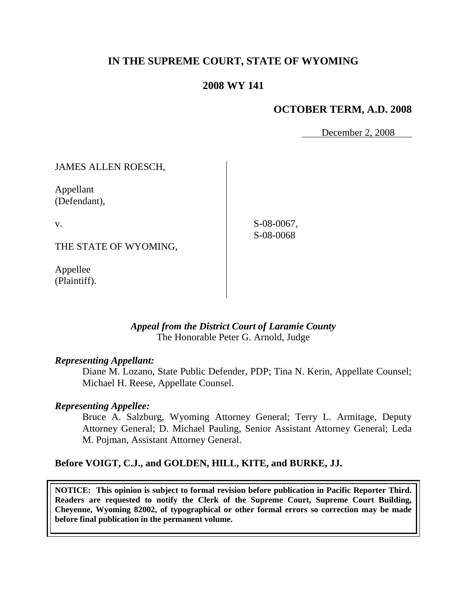# **IN THE SUPREME COURT, STATE OF WYOMING**

## **2008 WY 141**

### **OCTOBER TERM, A.D. 2008**

December 2, 2008

JAMES ALLEN ROESCH,

Appellant (Defendant),

v.

THE STATE OF WYOMING,

Appellee (Plaintiff).

S-08-0067, S-08-0068

## *Appeal from the District Court of Laramie County* The Honorable Peter G. Arnold, Judge

#### *Representing Appellant:*

Diane M. Lozano, State Public Defender, PDP; Tina N. Kerin, Appellate Counsel; Michael H. Reese, Appellate Counsel.

#### *Representing Appellee:*

Bruce A. Salzburg, Wyoming Attorney General; Terry L. Armitage, Deputy Attorney General; D. Michael Pauling, Senior Assistant Attorney General; Leda M. Pojman, Assistant Attorney General.

#### **Before VOIGT, C.J., and GOLDEN, HILL, KITE, and BURKE, JJ.**

**NOTICE: This opinion is subject to formal revision before publication in Pacific Reporter Third. Readers are requested to notify the Clerk of the Supreme Court, Supreme Court Building, Cheyenne, Wyoming 82002, of typographical or other formal errors so correction may be made before final publication in the permanent volume.**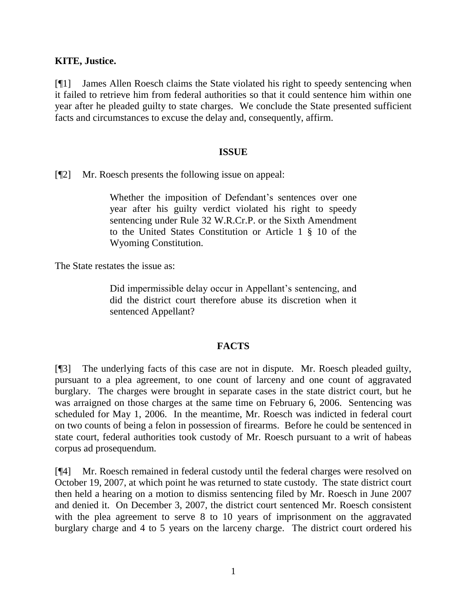### **KITE, Justice.**

[¶1] James Allen Roesch claims the State violated his right to speedy sentencing when it failed to retrieve him from federal authorities so that it could sentence him within one year after he pleaded guilty to state charges. We conclude the State presented sufficient facts and circumstances to excuse the delay and, consequently, affirm.

#### **ISSUE**

[¶2] Mr. Roesch presents the following issue on appeal:

Whether the imposition of Defendant's sentences over one year after his guilty verdict violated his right to speedy sentencing under Rule 32 W.R.Cr.P. or the Sixth Amendment to the United States Constitution or Article 1 § 10 of the Wyoming Constitution.

The State restates the issue as:

Did impermissible delay occur in Appellant's sentencing, and did the district court therefore abuse its discretion when it sentenced Appellant?

#### **FACTS**

[¶3] The underlying facts of this case are not in dispute. Mr. Roesch pleaded guilty, pursuant to a plea agreement, to one count of larceny and one count of aggravated burglary. The charges were brought in separate cases in the state district court, but he was arraigned on those charges at the same time on February 6, 2006. Sentencing was scheduled for May 1, 2006. In the meantime, Mr. Roesch was indicted in federal court on two counts of being a felon in possession of firearms. Before he could be sentenced in state court, federal authorities took custody of Mr. Roesch pursuant to a writ of habeas corpus ad prosequendum.

[¶4] Mr. Roesch remained in federal custody until the federal charges were resolved on October 19, 2007, at which point he was returned to state custody. The state district court then held a hearing on a motion to dismiss sentencing filed by Mr. Roesch in June 2007 and denied it. On December 3, 2007, the district court sentenced Mr. Roesch consistent with the plea agreement to serve 8 to 10 years of imprisonment on the aggravated burglary charge and 4 to 5 years on the larceny charge. The district court ordered his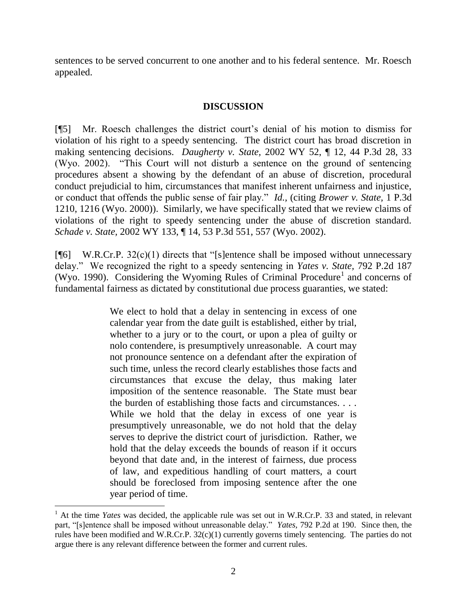sentences to be served concurrent to one another and to his federal sentence. Mr. Roesch appealed.

## **DISCUSSION**

[¶5] Mr. Roesch challenges the district court"s denial of his motion to dismiss for violation of his right to a speedy sentencing. The district court has broad discretion in making sentencing decisions. *Daugherty v. State,* 2002 WY 52, ¶ 12, 44 P.3d 28, 33 (Wyo. 2002). "This Court will not disturb a sentence on the ground of sentencing procedures absent a showing by the defendant of an abuse of discretion, procedural conduct prejudicial to him, circumstances that manifest inherent unfairness and injustice, or conduct that offends the public sense of fair play." *Id.,* (citing *Brower v. State,* 1 P.3d 1210, 1216 (Wyo. 2000)). Similarly, we have specifically stated that we review claims of violations of the right to speedy sentencing under the abuse of discretion standard. *Schade v. State,* 2002 WY 133, ¶ 14, 53 P.3d 551, 557 (Wyo. 2002).

 $[\![\mathcal{F}]$  W.R.Cr.P. 32(c)(1) directs that "[s]entence shall be imposed without unnecessary delay." We recognized the right to a speedy sentencing in *Yates v. State,* 792 P.2d 187 (Wyo. 1990). Considering the Wyoming Rules of Criminal Procedure<sup>1</sup> and concerns of fundamental fairness as dictated by constitutional due process guaranties, we stated:

> We elect to hold that a delay in sentencing in excess of one calendar year from the date guilt is established, either by trial, whether to a jury or to the court, or upon a plea of guilty or nolo contendere, is presumptively unreasonable. A court may not pronounce sentence on a defendant after the expiration of such time, unless the record clearly establishes those facts and circumstances that excuse the delay, thus making later imposition of the sentence reasonable. The State must bear the burden of establishing those facts and circumstances. . . . While we hold that the delay in excess of one year is presumptively unreasonable, we do not hold that the delay serves to deprive the district court of jurisdiction. Rather, we hold that the delay exceeds the bounds of reason if it occurs beyond that date and, in the interest of fairness, due process of law, and expeditious handling of court matters, a court should be foreclosed from imposing sentence after the one year period of time.

<sup>&</sup>lt;sup>1</sup> At the time *Yates* was decided, the applicable rule was set out in W.R.Cr.P. 33 and stated, in relevant part, "[s]entence shall be imposed without unreasonable delay." *Yates,* 792 P.2d at 190. Since then, the rules have been modified and W.R.Cr.P.  $32(c)(1)$  currently governs timely sentencing. The parties do not argue there is any relevant difference between the former and current rules.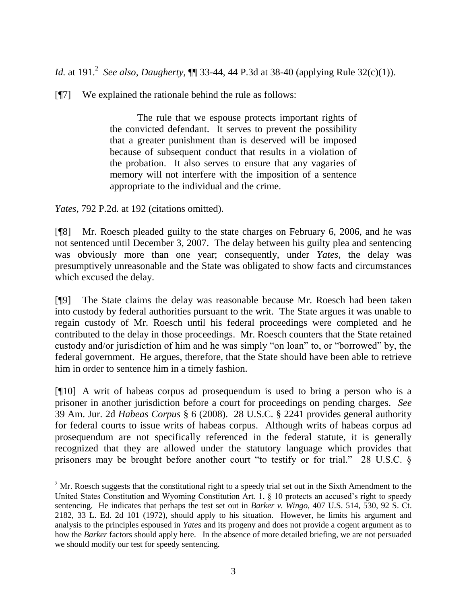*Id.* at 191.<sup>2</sup> See also, *Daugherty*,  $\P$  33-44, 44 P.3d at 38-40 (applying Rule 32(c)(1)).

[¶7] We explained the rationale behind the rule as follows:

The rule that we espouse protects important rights of the convicted defendant. It serves to prevent the possibility that a greater punishment than is deserved will be imposed because of subsequent conduct that results in a violation of the probation. It also serves to ensure that any vagaries of memory will not interfere with the imposition of a sentence appropriate to the individual and the crime.

*Yates,* 792 P.2d*.* at 192 (citations omitted).

[¶8] Mr. Roesch pleaded guilty to the state charges on February 6, 2006, and he was not sentenced until December 3, 2007. The delay between his guilty plea and sentencing was obviously more than one year; consequently, under *Yates,* the delay was presumptively unreasonable and the State was obligated to show facts and circumstances which excused the delay.

[¶9] The State claims the delay was reasonable because Mr. Roesch had been taken into custody by federal authorities pursuant to the writ. The State argues it was unable to regain custody of Mr. Roesch until his federal proceedings were completed and he contributed to the delay in those proceedings. Mr. Roesch counters that the State retained custody and/or jurisdiction of him and he was simply "on loan" to, or "borrowed" by, the federal government. He argues, therefore, that the State should have been able to retrieve him in order to sentence him in a timely fashion.

[¶10] A writ of habeas corpus ad prosequendum is used to bring a person who is a prisoner in another jurisdiction before a court for proceedings on pending charges. *See* 39 Am. Jur. 2d *Habeas Corpus* § 6 (2008). 28 U.S.C. § 2241 provides general authority for federal courts to issue writs of habeas corpus. Although writs of habeas corpus ad prosequendum are not specifically referenced in the federal statute, it is generally recognized that they are allowed under the statutory language which provides that prisoners may be brought before another court "to testify or for trial." 28 U.S.C. §

 $2^{\circ}$  Mr. Roesch suggests that the constitutional right to a speedy trial set out in the Sixth Amendment to the United States Constitution and Wyoming Constitution Art. 1,  $\&$  10 protects an accused's right to speedy sentencing. He indicates that perhaps the test set out in *Barker v. Wingo,* 407 U.S. 514, 530, 92 S. Ct. 2182, 33 L. Ed. 2d 101 (1972), should apply to his situation. However, he limits his argument and analysis to the principles espoused in *Yates* and its progeny and does not provide a cogent argument as to how the *Barker* factors should apply here. In the absence of more detailed briefing, we are not persuaded we should modify our test for speedy sentencing.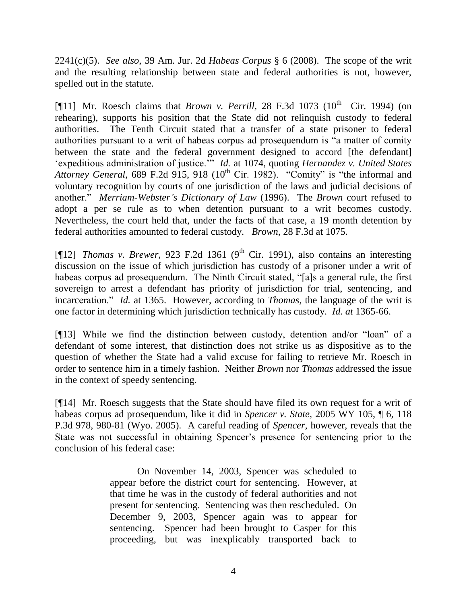2241(c)(5). *See also*, 39 Am. Jur. 2d *Habeas Corpus* § 6 (2008). The scope of the writ and the resulting relationship between state and federal authorities is not, however, spelled out in the statute.

[¶11] Mr. Roesch claims that *Brown v. Perrill*, 28 F.3d 1073 ( $10^{th}$  Cir. 1994) (on rehearing), supports his position that the State did not relinquish custody to federal authorities. The Tenth Circuit stated that a transfer of a state prisoner to federal authorities pursuant to a writ of habeas corpus ad prosequendum is "a matter of comity between the state and the federal government designed to accord [the defendant] "expeditious administration of justice."" *Id.* at 1074, quoting *Hernandez v. United States Attorney General,* 689 F.2d 915, 918 (10<sup>th</sup> Cir. 1982). "Comity" is "the informal and voluntary recognition by courts of one jurisdiction of the laws and judicial decisions of another." *[Merriam-Webster's Dictionary of Law](http://dictionary.reference.com/help/mwlaw.html)* (1996). The *Brown* court refused to adopt a per se rule as to when detention pursuant to a writ becomes custody. Nevertheless, the court held that, under the facts of that case, a 19 month detention by federal authorities amounted to federal custody. *Brown,* 28 F.3d at 1075.

[ $[$ [12] *Thomas v. Brewer*, 923 F.2d 1361 (9<sup>th</sup> Cir. 1991), also contains an interesting discussion on the issue of which jurisdiction has custody of a prisoner under a writ of habeas corpus ad prosequendum. The Ninth Circuit stated, "[a]s a general rule, the first sovereign to arrest a defendant has priority of jurisdiction for trial, sentencing, and incarceration." *Id.* at 1365. However, according to *Thomas,* the language of the writ is one factor in determining which jurisdiction technically has custody. *Id. at* 1365-66.

[¶13] While we find the distinction between custody, detention and/or "loan" of a defendant of some interest, that distinction does not strike us as dispositive as to the question of whether the State had a valid excuse for failing to retrieve Mr. Roesch in order to sentence him in a timely fashion. Neither *Brown* nor *Thomas* addressed the issue in the context of speedy sentencing.

[¶14] Mr. Roesch suggests that the State should have filed its own request for a writ of habeas corpus ad prosequendum, like it did in *Spencer v. State,* 2005 WY 105, ¶ 6, 118 P.3d 978, 980-81 (Wyo. 2005). A careful reading of *Spencer,* however, reveals that the State was not successful in obtaining Spencer"s presence for sentencing prior to the conclusion of his federal case:

> On November 14, 2003, Spencer was scheduled to appear before the district court for sentencing. However, at that time he was in the custody of federal authorities and not present for sentencing. Sentencing was then rescheduled. On December 9, 2003, Spencer again was to appear for sentencing. Spencer had been brought to Casper for this proceeding, but was inexplicably transported back to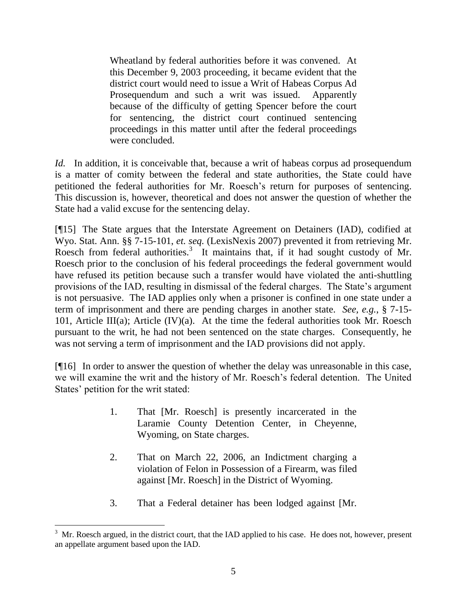Wheatland by federal authorities before it was convened. At this December 9, 2003 proceeding, it became evident that the district court would need to issue a Writ of Habeas Corpus Ad Prosequendum and such a writ was issued. Apparently because of the difficulty of getting Spencer before the court for sentencing, the district court continued sentencing proceedings in this matter until after the federal proceedings were concluded.

*Id.* In addition, it is conceivable that, because a writ of habeas corpus ad prosequendum is a matter of comity between the federal and state authorities, the State could have petitioned the federal authorities for Mr. Roesch"s return for purposes of sentencing. This discussion is, however, theoretical and does not answer the question of whether the State had a valid excuse for the sentencing delay.

[¶15] The State argues that the Interstate Agreement on Detainers (IAD), codified at Wyo. Stat. Ann. §§ 7-15-101, *et. seq.* (LexisNexis 2007) prevented it from retrieving Mr. Roesch from federal authorities.<sup>3</sup> It maintains that, if it had sought custody of Mr. Roesch prior to the conclusion of his federal proceedings the federal government would have refused its petition because such a transfer would have violated the anti-shuttling provisions of the IAD, resulting in dismissal of the federal charges. The State"s argument is not persuasive. The IAD applies only when a prisoner is confined in one state under a term of imprisonment and there are pending charges in another state. *See, e.g.*, § 7-15- 101, Article III(a); Article  $(IV)(a)$ . At the time the federal authorities took Mr. Roesch pursuant to the writ, he had not been sentenced on the state charges. Consequently, he was not serving a term of imprisonment and the IAD provisions did not apply.

[¶16] In order to answer the question of whether the delay was unreasonable in this case, we will examine the writ and the history of Mr. Roesch"s federal detention. The United States' petition for the writ stated:

- 1. That [Mr. Roesch] is presently incarcerated in the Laramie County Detention Center, in Cheyenne, Wyoming, on State charges.
- 2. That on March 22, 2006, an Indictment charging a violation of Felon in Possession of a Firearm, was filed against [Mr. Roesch] in the District of Wyoming.
- 3. That a Federal detainer has been lodged against [Mr.

l

<sup>&</sup>lt;sup>3</sup> Mr. Roesch argued, in the district court, that the IAD applied to his case. He does not, however, present an appellate argument based upon the IAD.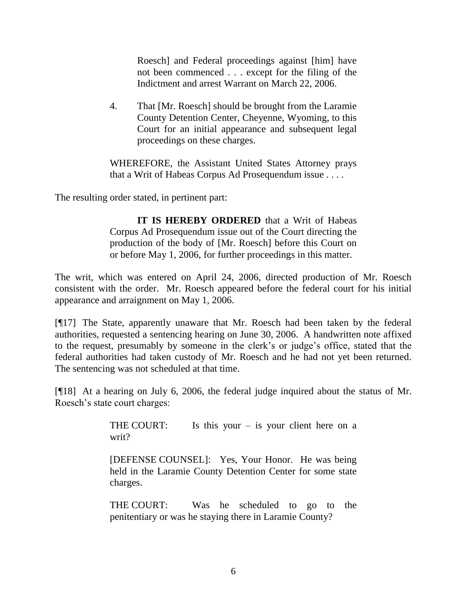Roesch] and Federal proceedings against [him] have not been commenced . . . except for the filing of the Indictment and arrest Warrant on March 22, 2006.

4. That [Mr. Roesch] should be brought from the Laramie County Detention Center, Cheyenne, Wyoming, to this Court for an initial appearance and subsequent legal proceedings on these charges.

WHEREFORE, the Assistant United States Attorney prays that a Writ of Habeas Corpus Ad Prosequendum issue . . . .

The resulting order stated, in pertinent part:

**IT IS HEREBY ORDERED** that a Writ of Habeas Corpus Ad Prosequendum issue out of the Court directing the production of the body of [Mr. Roesch] before this Court on or before May 1, 2006, for further proceedings in this matter.

The writ, which was entered on April 24, 2006, directed production of Mr. Roesch consistent with the order. Mr. Roesch appeared before the federal court for his initial appearance and arraignment on May 1, 2006.

[¶17] The State, apparently unaware that Mr. Roesch had been taken by the federal authorities, requested a sentencing hearing on June 30, 2006. A handwritten note affixed to the request, presumably by someone in the clerk"s or judge"s office, stated that the federal authorities had taken custody of Mr. Roesch and he had not yet been returned. The sentencing was not scheduled at that time.

[¶18] At a hearing on July 6, 2006, the federal judge inquired about the status of Mr. Roesch"s state court charges:

> THE COURT: Is this your  $-$  is your client here on a writ?

> [DEFENSE COUNSEL]: Yes, Your Honor. He was being held in the Laramie County Detention Center for some state charges.

> THE COURT: Was he scheduled to go to the penitentiary or was he staying there in Laramie County?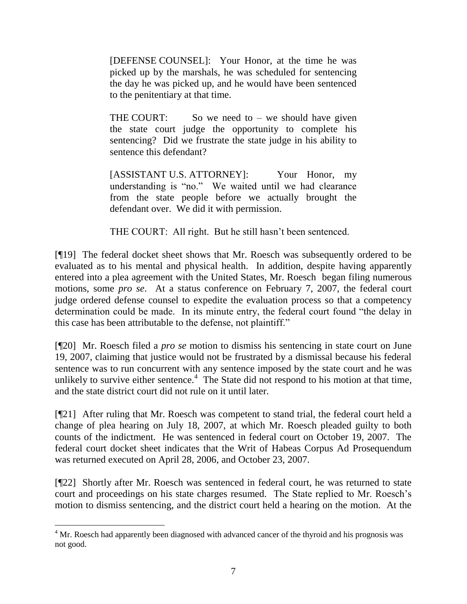[DEFENSE COUNSEL]: Your Honor, at the time he was picked up by the marshals, he was scheduled for sentencing the day he was picked up, and he would have been sentenced to the penitentiary at that time.

THE COURT: So we need to  $-$  we should have given the state court judge the opportunity to complete his sentencing? Did we frustrate the state judge in his ability to sentence this defendant?

[ASSISTANT U.S. ATTORNEY]: Your Honor, my understanding is "no." We waited until we had clearance from the state people before we actually brought the defendant over. We did it with permission.

THE COURT: All right. But he still hasn't been sentenced.

[¶19] The federal docket sheet shows that Mr. Roesch was subsequently ordered to be evaluated as to his mental and physical health. In addition, despite having apparently entered into a plea agreement with the United States, Mr. Roesch began filing numerous motions, some *pro se*. At a status conference on February 7, 2007, the federal court judge ordered defense counsel to expedite the evaluation process so that a competency determination could be made. In its minute entry, the federal court found "the delay in this case has been attributable to the defense, not plaintiff."

[¶20] Mr. Roesch filed a *pro se* motion to dismiss his sentencing in state court on June 19, 2007, claiming that justice would not be frustrated by a dismissal because his federal sentence was to run concurrent with any sentence imposed by the state court and he was unlikely to survive either sentence.<sup>4</sup> The State did not respond to his motion at that time, and the state district court did not rule on it until later.

[¶21] After ruling that Mr. Roesch was competent to stand trial, the federal court held a change of plea hearing on July 18, 2007, at which Mr. Roesch pleaded guilty to both counts of the indictment. He was sentenced in federal court on October 19, 2007. The federal court docket sheet indicates that the Writ of Habeas Corpus Ad Prosequendum was returned executed on April 28, 2006, and October 23, 2007.

[¶22] Shortly after Mr. Roesch was sentenced in federal court, he was returned to state court and proceedings on his state charges resumed. The State replied to Mr. Roesch"s motion to dismiss sentencing, and the district court held a hearing on the motion. At the

l

<sup>&</sup>lt;sup>4</sup> Mr. Roesch had apparently been diagnosed with advanced cancer of the thyroid and his prognosis was not good.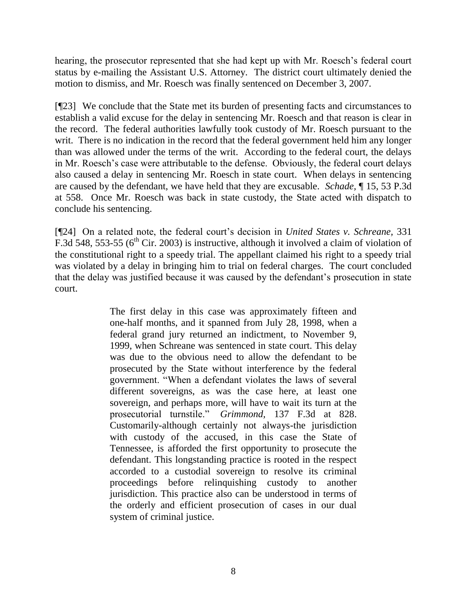hearing, the prosecutor represented that she had kept up with Mr. Roesch's federal court status by e-mailing the Assistant U.S. Attorney. The district court ultimately denied the motion to dismiss, and Mr. Roesch was finally sentenced on December 3, 2007.

[¶23] We conclude that the State met its burden of presenting facts and circumstances to establish a valid excuse for the delay in sentencing Mr. Roesch and that reason is clear in the record. The federal authorities lawfully took custody of Mr. Roesch pursuant to the writ. There is no indication in the record that the federal government held him any longer than was allowed under the terms of the writ. According to the federal court, the delays in Mr. Roesch's case were attributable to the defense. Obviously, the federal court delays also caused a delay in sentencing Mr. Roesch in state court. When delays in sentencing are caused by the defendant, we have held that they are excusable. *Schade,* ¶ 15, 53 P.3d at 558. Once Mr. Roesch was back in state custody, the State acted with dispatch to conclude his sentencing.

[¶24] On a related note, the federal court"s decision in *United States v. Schreane,* 331 F.3d 548, 553-55 ( $6<sup>th</sup>$  Cir. 2003) is instructive, although it involved a claim of violation of the constitutional right to a speedy trial. The appellant claimed his right to a speedy trial was violated by a delay in bringing him to trial on federal charges. The court concluded that the delay was justified because it was caused by the defendant's prosecution in state court.

> The first delay in this case was approximately fifteen and one-half months, and it spanned from July 28, 1998, when a federal grand jury returned an indictment, to November 9, 1999, when Schreane was sentenced in state court. This delay was due to the obvious need to allow the defendant to be prosecuted by the State without interference by the federal government. "When a defendant violates the laws of several different sovereigns, as was the case here, at least one sovereign, and perhaps more, will have to wait its turn at the prosecutorial turnstile." *Grimmond,* 137 F.3d at 828. Customarily-although certainly not always-the jurisdiction with custody of the accused, in this case the State of Tennessee, is afforded the first opportunity to prosecute the defendant. This longstanding practice is rooted in the respect accorded to a custodial sovereign to resolve its criminal proceedings before relinquishing custody to another jurisdiction. This practice also can be understood in terms of the orderly and efficient prosecution of cases in our dual system of criminal justice.